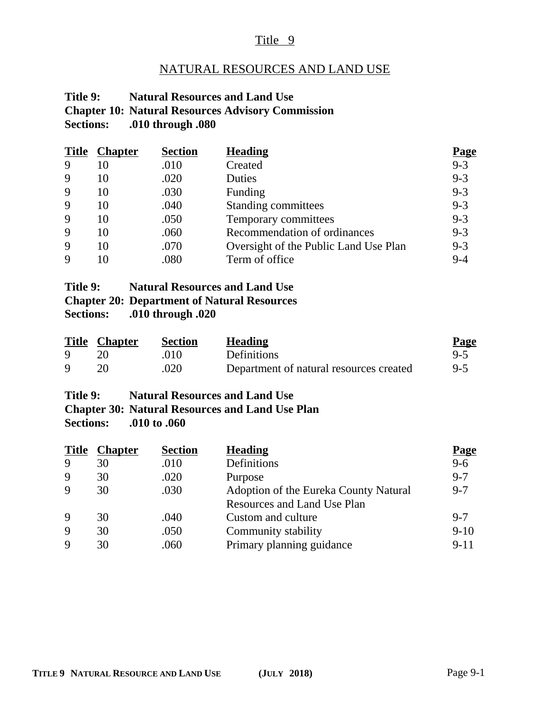#### Title 9

# NATURAL RESOURCES AND LAND USE

#### **Title 9: Natural Resources and Land Use Chapter 10: Natural Resources Advisory Commission Sections: .010 through .080**

|   | <b>Title Chapter</b> | <b>Section</b> | <b>Heading</b>                        | <u>Page</u> |
|---|----------------------|----------------|---------------------------------------|-------------|
| 9 | 10                   | .010           | Created                               | $9 - 3$     |
| 9 | 10                   | .020           | Duties                                | $9 - 3$     |
| 9 | 10                   | .030           | Funding                               | $9 - 3$     |
| 9 | 10                   | .040           | Standing committees                   | $9 - 3$     |
| 9 | 10                   | .050           | Temporary committees                  | $9 - 3$     |
| 9 | 10                   | .060           | Recommendation of ordinances          | $9 - 3$     |
| 9 | 10                   | .070           | Oversight of the Public Land Use Plan | $9 - 3$     |
| 9 |                      | .080           | Term of office                        | $9 - 4$     |

#### **Title 9: Natural Resources and Land Use Chapter 20: Department of Natural Resources Sections: .010 through .020**

|   | <b>Title Chapter</b> | <b>Section</b> | <b>Heading</b>                          | <b>Page</b> |
|---|----------------------|----------------|-----------------------------------------|-------------|
| 9 |                      | 010            | <b>Definitions</b>                      | $9-5$       |
| Q |                      | .020           | Department of natural resources created | $9-5$       |

# **Title 9: Natural Resources and Land Use Chapter 30: Natural Resources and Land Use Plan**

**Sections: .010 to .060**

| <b>Title</b> | <b>Chapter</b> | <b>Section</b> | <b>Heading</b>                        | <u>Page</u> |
|--------------|----------------|----------------|---------------------------------------|-------------|
| 9            | 30             | .010           | Definitions                           | $9 - 6$     |
| 9            | 30             | .020           | Purpose                               | $9 - 7$     |
| $\mathbf Q$  | 30             | .030           | Adoption of the Eureka County Natural | $9 - 7$     |
|              |                |                | Resources and Land Use Plan           |             |
| 9            | 30             | .040           | Custom and culture                    | $9 - 7$     |
| 9            | 30             | .050           | Community stability                   | $9-10$      |
| $\mathbf Q$  | 30             | .060           | Primary planning guidance             | $9 - 11$    |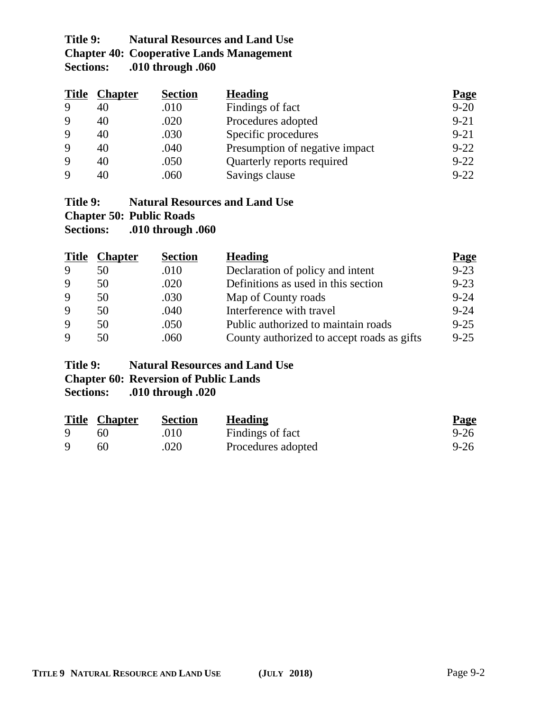# **Title 9: Natural Resources and Land Use Chapter 40: Cooperative Lands Management**<br>Sections: .010 through .060 **Sections: .010 through .060**

| <b>Title</b> | <b>Chapter</b> | <b>Section</b> | <b>Heading</b>                 | <b>Page</b> |
|--------------|----------------|----------------|--------------------------------|-------------|
| 9            | 40             | .010           | Findings of fact               | $9 - 20$    |
| 9            | 40             | .020           | Procedures adopted             | $9 - 21$    |
| 9            | 40             | .030           | Specific procedures            | $9 - 21$    |
| 9            | 40             | .040           | Presumption of negative impact | $9 - 22$    |
| 9            | 40             | .050           | Quarterly reports required     | $9 - 22$    |
| $\mathbf Q$  | 40             | .060           | Savings clause                 | $9 - 22$    |

# **Title 9: Natural Resources and Land Use**

**Chapter 50: Public Roads**

**Sections: .010 through .060**

| <b>Title</b> | <b>Chapter</b> | <b>Section</b> | <b>Heading</b>                             | <b>Page</b> |
|--------------|----------------|----------------|--------------------------------------------|-------------|
| 9            | 50             | .010           | Declaration of policy and intent           | $9 - 23$    |
| <b>9</b>     | 50             | .020           | Definitions as used in this section        | $9 - 23$    |
| 9            | 50             | .030           | Map of County roads                        | $9 - 24$    |
| 9            | 50             | .040           | Interference with travel                   | $9 - 24$    |
| 9            | 50             | .050           | Public authorized to maintain roads        | $9 - 25$    |
| $\mathbf Q$  | 50             | .060           | County authorized to accept roads as gifts | $9 - 25$    |

# **Title 9: Natural Resources and Land Use**

# **Chapter 60: Reversion of Public Lands**

**Sections: .010 through .020**

| <b>Title Chapter</b> | <b>Section</b> | <b>Heading</b>     | <b>Page</b> |
|----------------------|----------------|--------------------|-------------|
| 60                   | .010           | Findings of fact   | $9 - 26$    |
| 60                   | .020           | Procedures adopted | $9 - 26$    |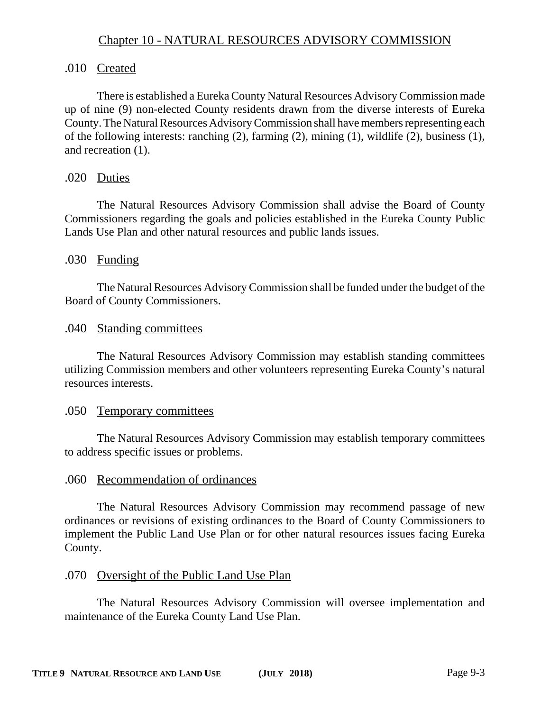# Chapter 10 - NATURAL RESOURCES ADVISORY COMMISSION

#### .010 Created

There is established a Eureka County Natural Resources Advisory Commission made up of nine (9) non-elected County residents drawn from the diverse interests of Eureka County. The Natural Resources Advisory Commission shall have members representing each of the following interests: ranching (2), farming (2), mining (1), wildlife (2), business (1), and recreation (1).

#### .020 Duties

The Natural Resources Advisory Commission shall advise the Board of County Commissioners regarding the goals and policies established in the Eureka County Public Lands Use Plan and other natural resources and public lands issues.

#### .030 Funding

The Natural Resources Advisory Commission shall be funded under the budget of the Board of County Commissioners.

#### .040 Standing committees

The Natural Resources Advisory Commission may establish standing committees utilizing Commission members and other volunteers representing Eureka County's natural resources interests.

#### .050 Temporary committees

The Natural Resources Advisory Commission may establish temporary committees to address specific issues or problems.

#### .060 Recommendation of ordinances

The Natural Resources Advisory Commission may recommend passage of new ordinances or revisions of existing ordinances to the Board of County Commissioners to implement the Public Land Use Plan or for other natural resources issues facing Eureka County.

# .070 Oversight of the Public Land Use Plan

The Natural Resources Advisory Commission will oversee implementation and maintenance of the Eureka County Land Use Plan.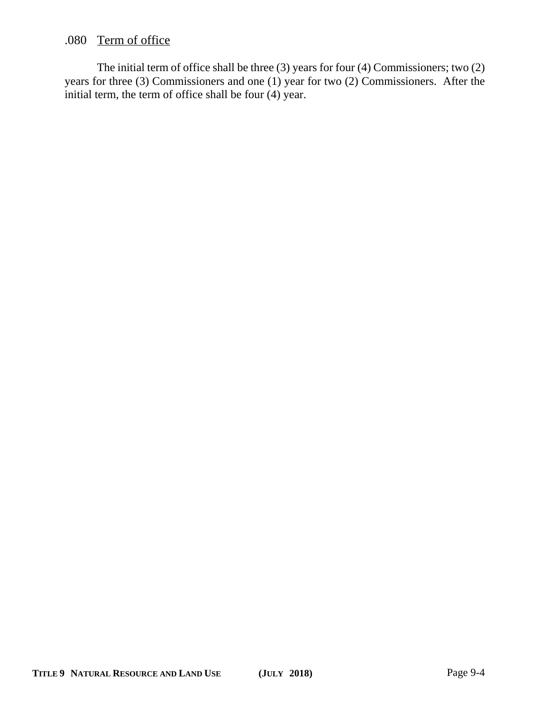# .080 Term of office

The initial term of office shall be three (3) years for four (4) Commissioners; two (2) years for three (3) Commissioners and one (1) year for two (2) Commissioners. After the initial term, the term of office shall be four (4) year.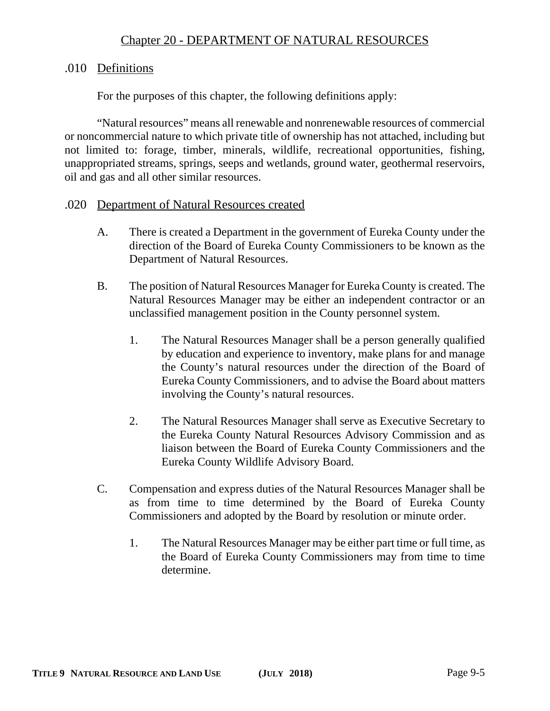# Chapter 20 - DEPARTMENT OF NATURAL RESOURCES

#### .010 Definitions

For the purposes of this chapter, the following definitions apply:

"Natural resources" means all renewable and nonrenewable resources of commercial or noncommercial nature to which private title of ownership has not attached, including but not limited to: forage, timber, minerals, wildlife, recreational opportunities, fishing, unappropriated streams, springs, seeps and wetlands, ground water, geothermal reservoirs, oil and gas and all other similar resources.

#### .020 Department of Natural Resources created

- A. There is created a Department in the government of Eureka County under the direction of the Board of Eureka County Commissioners to be known as the Department of Natural Resources.
- B. The position of Natural Resources Manager for Eureka County is created. The Natural Resources Manager may be either an independent contractor or an unclassified management position in the County personnel system.
	- 1. The Natural Resources Manager shall be a person generally qualified by education and experience to inventory, make plans for and manage the County's natural resources under the direction of the Board of Eureka County Commissioners, and to advise the Board about matters involving the County's natural resources.
	- 2. The Natural Resources Manager shall serve as Executive Secretary to the Eureka County Natural Resources Advisory Commission and as liaison between the Board of Eureka County Commissioners and the Eureka County Wildlife Advisory Board.
- C. Compensation and express duties of the Natural Resources Manager shall be as from time to time determined by the Board of Eureka County Commissioners and adopted by the Board by resolution or minute order.
	- 1. The Natural Resources Manager may be either part time or full time, as the Board of Eureka County Commissioners may from time to time determine.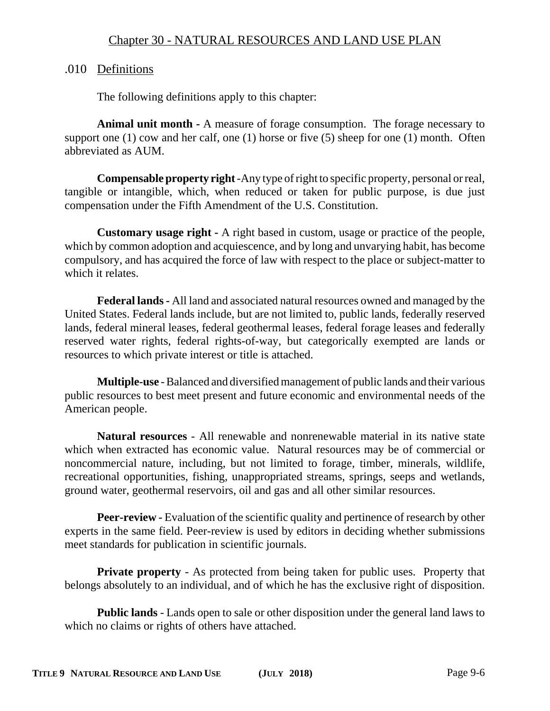# .010 Definitions

The following definitions apply to this chapter:

**Animal unit month -** A measure of forage consumption. The forage necessary to support one (1) cow and her calf, one (1) horse or five (5) sheep for one (1) month. Often abbreviated as AUM.

**Compensable property right** -Any type of right to specific property, personal or real, tangible or intangible, which, when reduced or taken for public purpose, is due just compensation under the Fifth Amendment of the U.S. Constitution.

**Customary usage right -** A right based in custom, usage or practice of the people, which by common adoption and acquiescence, and by long and unvarying habit, has become compulsory, and has acquired the force of law with respect to the place or subject-matter to which it relates.

**Federal lands -** All land and associated natural resources owned and managed by the United States. Federal lands include, but are not limited to, public lands, federally reserved lands, federal mineral leases, federal geothermal leases, federal forage leases and federally reserved water rights, federal rights-of-way, but categorically exempted are lands or resources to which private interest or title is attached.

**Multiple-use** - Balanced and diversified management of public lands and their various public resources to best meet present and future economic and environmental needs of the American people.

**Natural resources** - All renewable and nonrenewable material in its native state which when extracted has economic value. Natural resources may be of commercial or noncommercial nature, including, but not limited to forage, timber, minerals, wildlife, recreational opportunities, fishing, unappropriated streams, springs, seeps and wetlands, ground water, geothermal reservoirs, oil and gas and all other similar resources.

**Peer-review -** Evaluation of the scientific quality and pertinence of research by other experts in the same field. Peer-review is used by editors in deciding whether submissions meet standards for publication in scientific journals.

**Private property** - As protected from being taken for public uses. Property that belongs absolutely to an individual, and of which he has the exclusive right of disposition.

**Public lands** - Lands open to sale or other disposition under the general land laws to which no claims or rights of others have attached.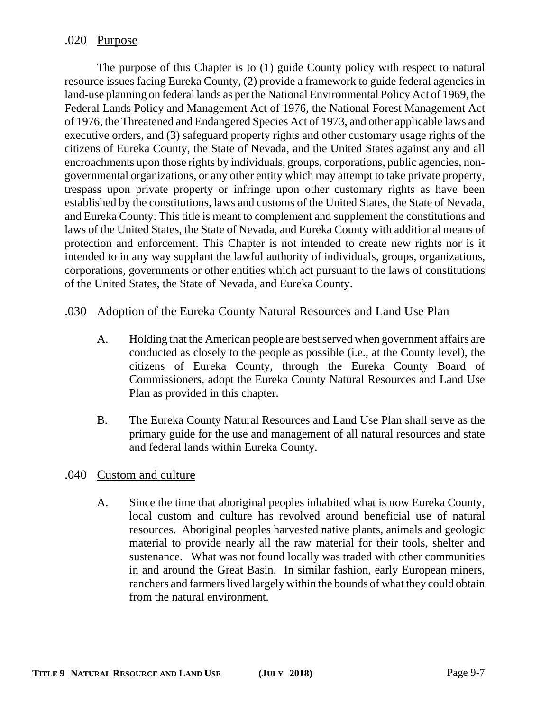# .020 Purpose

The purpose of this Chapter is to (1) guide County policy with respect to natural resource issues facing Eureka County, (2) provide a framework to guide federal agencies in land-use planning on federal lands as per the National Environmental Policy Act of 1969, the Federal Lands Policy and Management Act of 1976, the National Forest Management Act of 1976, the Threatened and Endangered Species Act of 1973, and other applicable laws and executive orders, and (3) safeguard property rights and other customary usage rights of the citizens of Eureka County, the State of Nevada, and the United States against any and all encroachments upon those rights by individuals, groups, corporations, public agencies, nongovernmental organizations, or any other entity which may attempt to take private property, trespass upon private property or infringe upon other customary rights as have been established by the constitutions, laws and customs of the United States, the State of Nevada, and Eureka County. This title is meant to complement and supplement the constitutions and laws of the United States, the State of Nevada, and Eureka County with additional means of protection and enforcement. This Chapter is not intended to create new rights nor is it intended to in any way supplant the lawful authority of individuals, groups, organizations, corporations, governments or other entities which act pursuant to the laws of constitutions of the United States, the State of Nevada, and Eureka County.

# .030 Adoption of the Eureka County Natural Resources and Land Use Plan

- A. Holding that the American people are best served when government affairs are conducted as closely to the people as possible (i.e., at the County level), the citizens of Eureka County, through the Eureka County Board of Commissioners, adopt the Eureka County Natural Resources and Land Use Plan as provided in this chapter.
- B. The Eureka County Natural Resources and Land Use Plan shall serve as the primary guide for the use and management of all natural resources and state and federal lands within Eureka County.

# .040 Custom and culture

A. Since the time that aboriginal peoples inhabited what is now Eureka County, local custom and culture has revolved around beneficial use of natural resources. Aboriginal peoples harvested native plants, animals and geologic material to provide nearly all the raw material for their tools, shelter and sustenance. What was not found locally was traded with other communities in and around the Great Basin. In similar fashion, early European miners, ranchers and farmers lived largely within the bounds of what they could obtain from the natural environment.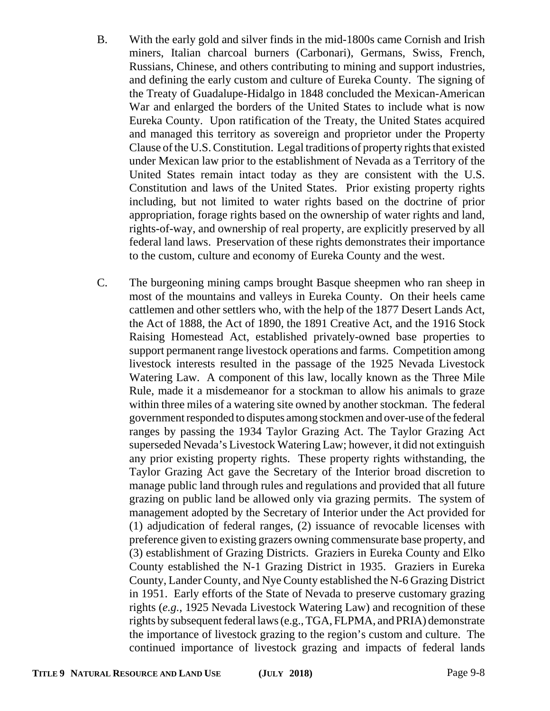- B. With the early gold and silver finds in the mid-1800s came Cornish and Irish miners, Italian charcoal burners (Carbonari), Germans, Swiss, French, Russians, Chinese, and others contributing to mining and support industries, and defining the early custom and culture of Eureka County. The signing of the Treaty of Guadalupe-Hidalgo in 1848 concluded the Mexican-American War and enlarged the borders of the United States to include what is now Eureka County. Upon ratification of the Treaty, the United States acquired and managed this territory as sovereign and proprietor under the Property Clause of the U.S. Constitution. Legal traditions of property rights that existed under Mexican law prior to the establishment of Nevada as a Territory of the United States remain intact today as they are consistent with the U.S. Constitution and laws of the United States. Prior existing property rights including, but not limited to water rights based on the doctrine of prior appropriation, forage rights based on the ownership of water rights and land, rights-of-way, and ownership of real property, are explicitly preserved by all federal land laws. Preservation of these rights demonstrates their importance to the custom, culture and economy of Eureka County and the west.
- C. The burgeoning mining camps brought Basque sheepmen who ran sheep in most of the mountains and valleys in Eureka County. On their heels came cattlemen and other settlers who, with the help of the 1877 Desert Lands Act, the Act of 1888, the Act of 1890, the 1891 Creative Act, and the 1916 Stock Raising Homestead Act, established privately-owned base properties to support permanent range livestock operations and farms. Competition among livestock interests resulted in the passage of the 1925 Nevada Livestock Watering Law. A component of this law, locally known as the Three Mile Rule, made it a misdemeanor for a stockman to allow his animals to graze within three miles of a watering site owned by another stockman. The federal government responded to disputes among stockmen and over-use of the federal ranges by passing the 1934 Taylor Grazing Act. The Taylor Grazing Act superseded Nevada's Livestock Watering Law; however, it did not extinguish any prior existing property rights. These property rights withstanding, the Taylor Grazing Act gave the Secretary of the Interior broad discretion to manage public land through rules and regulations and provided that all future grazing on public land be allowed only via grazing permits. The system of management adopted by the Secretary of Interior under the Act provided for (1) adjudication of federal ranges, (2) issuance of revocable licenses with preference given to existing grazers owning commensurate base property, and (3) establishment of Grazing Districts. Graziers in Eureka County and Elko County established the N-1 Grazing District in 1935. Graziers in Eureka County, Lander County, and Nye County established the N-6 Grazing District in 1951. Early efforts of the State of Nevada to preserve customary grazing rights (*e.g.*, 1925 Nevada Livestock Watering Law) and recognition of these rights by subsequent federal laws (e.g., TGA, FLPMA, and PRIA) demonstrate the importance of livestock grazing to the region's custom and culture. The continued importance of livestock grazing and impacts of federal lands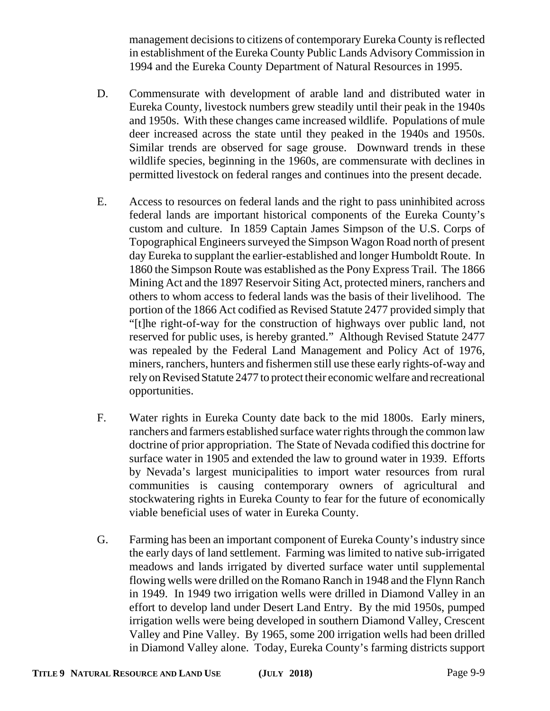management decisions to citizens of contemporary Eureka County is reflected in establishment of the Eureka County Public Lands Advisory Commission in 1994 and the Eureka County Department of Natural Resources in 1995.

- D. Commensurate with development of arable land and distributed water in Eureka County, livestock numbers grew steadily until their peak in the 1940s and 1950s. With these changes came increased wildlife. Populations of mule deer increased across the state until they peaked in the 1940s and 1950s. Similar trends are observed for sage grouse. Downward trends in these wildlife species, beginning in the 1960s, are commensurate with declines in permitted livestock on federal ranges and continues into the present decade.
- E. Access to resources on federal lands and the right to pass uninhibited across federal lands are important historical components of the Eureka County's custom and culture. In 1859 Captain James Simpson of the U.S. Corps of Topographical Engineers surveyed the Simpson Wagon Road north of present day Eureka to supplant the earlier-established and longer Humboldt Route. In 1860 the Simpson Route was established as the Pony Express Trail. The 1866 Mining Act and the 1897 Reservoir Siting Act, protected miners, ranchers and others to whom access to federal lands was the basis of their livelihood. The portion of the 1866 Act codified as Revised Statute 2477 provided simply that "[t]he right-of-way for the construction of highways over public land, not reserved for public uses, is hereby granted." Although Revised Statute 2477 was repealed by the Federal Land Management and Policy Act of 1976, miners, ranchers, hunters and fishermen still use these early rights-of-way and rely on Revised Statute 2477 to protect their economic welfare and recreational opportunities.
- F. Water rights in Eureka County date back to the mid 1800s. Early miners, ranchers and farmers established surface water rights through the common law doctrine of prior appropriation. The State of Nevada codified this doctrine for surface water in 1905 and extended the law to ground water in 1939. Efforts by Nevada's largest municipalities to import water resources from rural communities is causing contemporary owners of agricultural and stockwatering rights in Eureka County to fear for the future of economically viable beneficial uses of water in Eureka County.
- G. Farming has been an important component of Eureka County's industry since the early days of land settlement. Farming was limited to native sub-irrigated meadows and lands irrigated by diverted surface water until supplemental flowing wells were drilled on the Romano Ranch in 1948 and the Flynn Ranch in 1949. In 1949 two irrigation wells were drilled in Diamond Valley in an effort to develop land under Desert Land Entry. By the mid 1950s, pumped irrigation wells were being developed in southern Diamond Valley, Crescent Valley and Pine Valley. By 1965, some 200 irrigation wells had been drilled in Diamond Valley alone. Today, Eureka County's farming districts support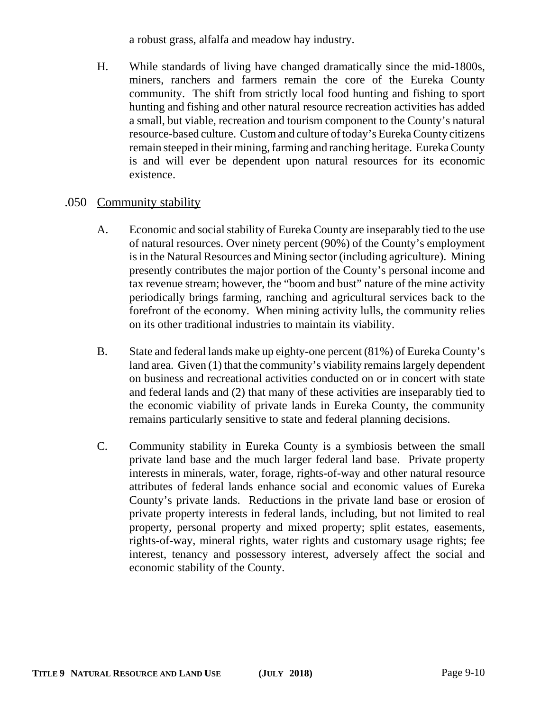a robust grass, alfalfa and meadow hay industry.

H. While standards of living have changed dramatically since the mid-1800s, miners, ranchers and farmers remain the core of the Eureka County community. The shift from strictly local food hunting and fishing to sport hunting and fishing and other natural resource recreation activities has added a small, but viable, recreation and tourism component to the County's natural resource-based culture. Custom and culture of today's Eureka County citizens remain steeped in their mining, farming and ranching heritage. Eureka County is and will ever be dependent upon natural resources for its economic existence.

# .050 Community stability

- A. Economic and social stability of Eureka County are inseparably tied to the use of natural resources. Over ninety percent (90%) of the County's employment is in the Natural Resources and Mining sector (including agriculture). Mining presently contributes the major portion of the County's personal income and tax revenue stream; however, the "boom and bust" nature of the mine activity periodically brings farming, ranching and agricultural services back to the forefront of the economy. When mining activity lulls, the community relies on its other traditional industries to maintain its viability.
- B. State and federal lands make up eighty-one percent (81%) of Eureka County's land area. Given (1) that the community's viability remains largely dependent on business and recreational activities conducted on or in concert with state and federal lands and (2) that many of these activities are inseparably tied to the economic viability of private lands in Eureka County, the community remains particularly sensitive to state and federal planning decisions.
- C. Community stability in Eureka County is a symbiosis between the small private land base and the much larger federal land base. Private property interests in minerals, water, forage, rights-of-way and other natural resource attributes of federal lands enhance social and economic values of Eureka County's private lands. Reductions in the private land base or erosion of private property interests in federal lands, including, but not limited to real property, personal property and mixed property; split estates, easements, rights-of-way, mineral rights, water rights and customary usage rights; fee interest, tenancy and possessory interest, adversely affect the social and economic stability of the County.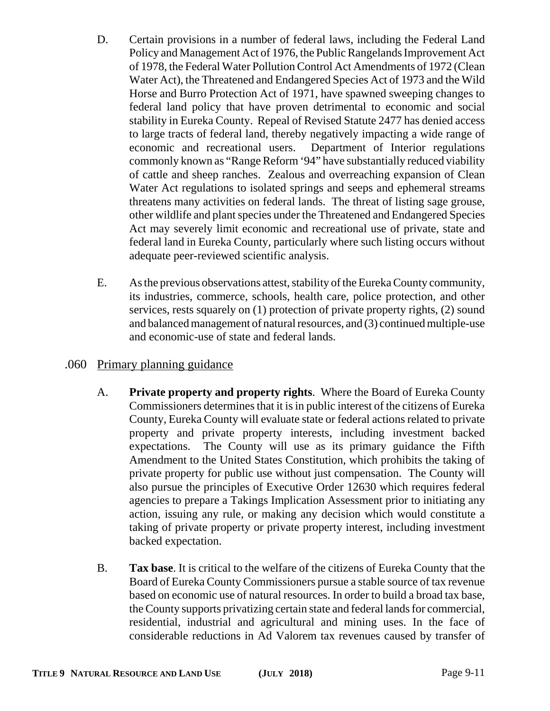- D. Certain provisions in a number of federal laws, including the Federal Land Policy and Management Act of 1976, the Public Rangelands Improvement Act of 1978, the Federal Water Pollution Control Act Amendments of 1972 (Clean Water Act), the Threatened and Endangered Species Act of 1973 and the Wild Horse and Burro Protection Act of 1971, have spawned sweeping changes to federal land policy that have proven detrimental to economic and social stability in Eureka County. Repeal of Revised Statute 2477 has denied access to large tracts of federal land, thereby negatively impacting a wide range of economic and recreational users. Department of Interior regulations commonly known as "Range Reform '94" have substantially reduced viability of cattle and sheep ranches. Zealous and overreaching expansion of Clean Water Act regulations to isolated springs and seeps and ephemeral streams threatens many activities on federal lands. The threat of listing sage grouse, other wildlife and plant species under the Threatened and Endangered Species Act may severely limit economic and recreational use of private, state and federal land in Eureka County, particularly where such listing occurs without adequate peer-reviewed scientific analysis.
- E. As the previous observations attest, stability of the Eureka County community, its industries, commerce, schools, health care, police protection, and other services, rests squarely on (1) protection of private property rights, (2) sound and balanced management of natural resources, and (3) continued multiple-use and economic-use of state and federal lands.

# .060 Primary planning guidance

- A. **Private property and property rights**. Where the Board of Eureka County Commissioners determines that it is in public interest of the citizens of Eureka County, Eureka County will evaluate state or federal actions related to private property and private property interests, including investment backed expectations. The County will use as its primary guidance the Fifth Amendment to the United States Constitution, which prohibits the taking of private property for public use without just compensation. The County will also pursue the principles of Executive Order 12630 which requires federal agencies to prepare a Takings Implication Assessment prior to initiating any action, issuing any rule, or making any decision which would constitute a taking of private property or private property interest, including investment backed expectation.
- B. **Tax base**. It is critical to the welfare of the citizens of Eureka County that the Board of Eureka County Commissioners pursue a stable source of tax revenue based on economic use of natural resources. In order to build a broad tax base, the County supports privatizing certain state and federal lands for commercial, residential, industrial and agricultural and mining uses. In the face of considerable reductions in Ad Valorem tax revenues caused by transfer of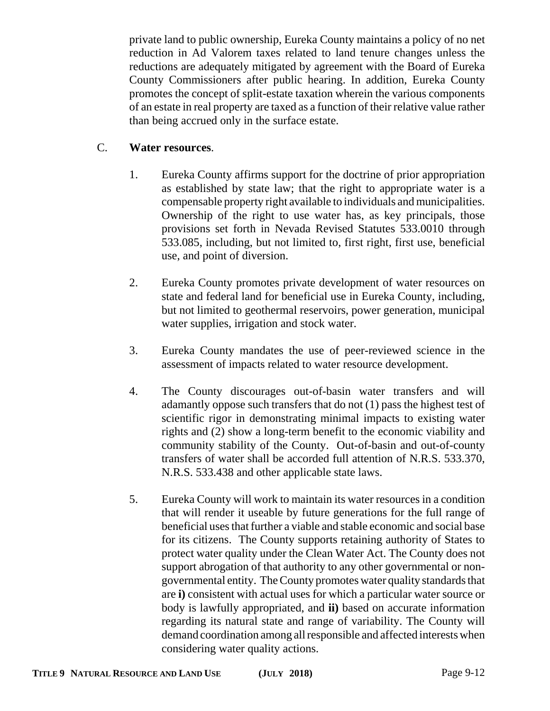private land to public ownership, Eureka County maintains a policy of no net reduction in Ad Valorem taxes related to land tenure changes unless the reductions are adequately mitigated by agreement with the Board of Eureka County Commissioners after public hearing. In addition, Eureka County promotes the concept of split-estate taxation wherein the various components of an estate in real property are taxed as a function of their relative value rather than being accrued only in the surface estate.

# C. **Water resources**.

- 1. Eureka County affirms support for the doctrine of prior appropriation as established by state law; that the right to appropriate water is a compensable property right available to individuals and municipalities. Ownership of the right to use water has, as key principals, those provisions set forth in Nevada Revised Statutes 533.0010 through 533.085, including, but not limited to, first right, first use, beneficial use, and point of diversion.
- 2. Eureka County promotes private development of water resources on state and federal land for beneficial use in Eureka County, including, but not limited to geothermal reservoirs, power generation, municipal water supplies, irrigation and stock water.
- 3. Eureka County mandates the use of peer-reviewed science in the assessment of impacts related to water resource development.
- 4. The County discourages out-of-basin water transfers and will adamantly oppose such transfers that do not (1) pass the highest test of scientific rigor in demonstrating minimal impacts to existing water rights and (2) show a long-term benefit to the economic viability and community stability of the County. Out-of-basin and out-of-county transfers of water shall be accorded full attention of N.R.S. 533.370, N.R.S. 533.438 and other applicable state laws.
- 5. Eureka County will work to maintain its water resources in a condition that will render it useable by future generations for the full range of beneficial uses that further a viable and stable economic and social base for its citizens. The County supports retaining authority of States to protect water quality under the Clean Water Act. The County does not support abrogation of that authority to any other governmental or nongovernmental entity. The County promotes water quality standards that are **i)** consistent with actual uses for which a particular water source or body is lawfully appropriated, and **ii)** based on accurate information regarding its natural state and range of variability. The County will demand coordination among all responsible and affected interests when considering water quality actions.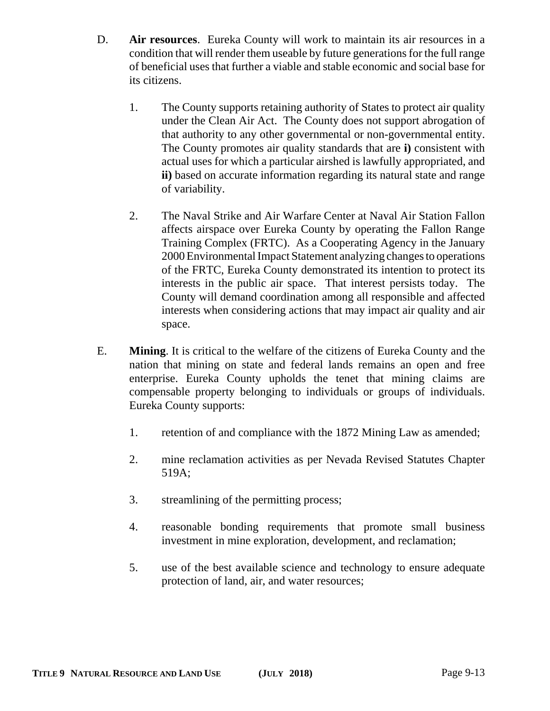- D. **Air resources**. Eureka County will work to maintain its air resources in a condition that will render them useable by future generations for the full range of beneficial uses that further a viable and stable economic and social base for its citizens.
	- 1. The County supports retaining authority of States to protect air quality under the Clean Air Act. The County does not support abrogation of that authority to any other governmental or non-governmental entity. The County promotes air quality standards that are **i)** consistent with actual uses for which a particular airshed is lawfully appropriated, and **ii)** based on accurate information regarding its natural state and range of variability.
	- 2. The Naval Strike and Air Warfare Center at Naval Air Station Fallon affects airspace over Eureka County by operating the Fallon Range Training Complex (FRTC). As a Cooperating Agency in the January 2000 Environmental Impact Statement analyzing changes to operations of the FRTC, Eureka County demonstrated its intention to protect its interests in the public air space. That interest persists today. The County will demand coordination among all responsible and affected interests when considering actions that may impact air quality and air space.
- E. **Mining**. It is critical to the welfare of the citizens of Eureka County and the nation that mining on state and federal lands remains an open and free enterprise. Eureka County upholds the tenet that mining claims are compensable property belonging to individuals or groups of individuals. Eureka County supports:
	- 1. retention of and compliance with the 1872 Mining Law as amended;
	- 2. mine reclamation activities as per Nevada Revised Statutes Chapter 519A;
	- 3. streamlining of the permitting process;
	- 4. reasonable bonding requirements that promote small business investment in mine exploration, development, and reclamation;
	- 5. use of the best available science and technology to ensure adequate protection of land, air, and water resources;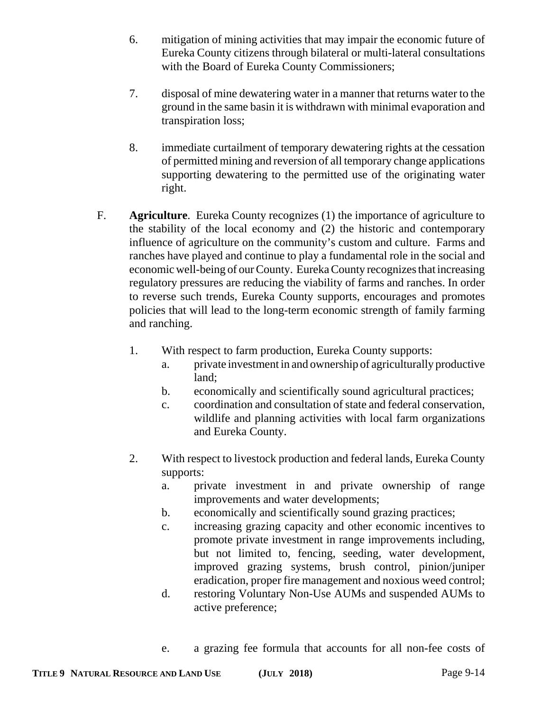- 6. mitigation of mining activities that may impair the economic future of Eureka County citizens through bilateral or multi-lateral consultations with the Board of Eureka County Commissioners;
- 7. disposal of mine dewatering water in a manner that returns water to the ground in the same basin it is withdrawn with minimal evaporation and transpiration loss;
- 8. immediate curtailment of temporary dewatering rights at the cessation of permitted mining and reversion of all temporary change applications supporting dewatering to the permitted use of the originating water right.
- F. **Agriculture**. Eureka County recognizes (1) the importance of agriculture to the stability of the local economy and (2) the historic and contemporary influence of agriculture on the community's custom and culture. Farms and ranches have played and continue to play a fundamental role in the social and economic well-being of our County. Eureka County recognizes that increasing regulatory pressures are reducing the viability of farms and ranches. In order to reverse such trends, Eureka County supports, encourages and promotes policies that will lead to the long-term economic strength of family farming and ranching.
	- 1. With respect to farm production, Eureka County supports:
		- a. private investment in and ownership of agriculturally productive land;
		- b. economically and scientifically sound agricultural practices;
		- c. coordination and consultation of state and federal conservation, wildlife and planning activities with local farm organizations and Eureka County.
	- 2. With respect to livestock production and federal lands, Eureka County supports:
		- a. private investment in and private ownership of range improvements and water developments;
		- b. economically and scientifically sound grazing practices;
		- c. increasing grazing capacity and other economic incentives to promote private investment in range improvements including, but not limited to, fencing, seeding, water development, improved grazing systems, brush control, pinion/juniper eradication, proper fire management and noxious weed control;
		- d. restoring Voluntary Non-Use AUMs and suspended AUMs to active preference;
		- e. a grazing fee formula that accounts for all non-fee costs of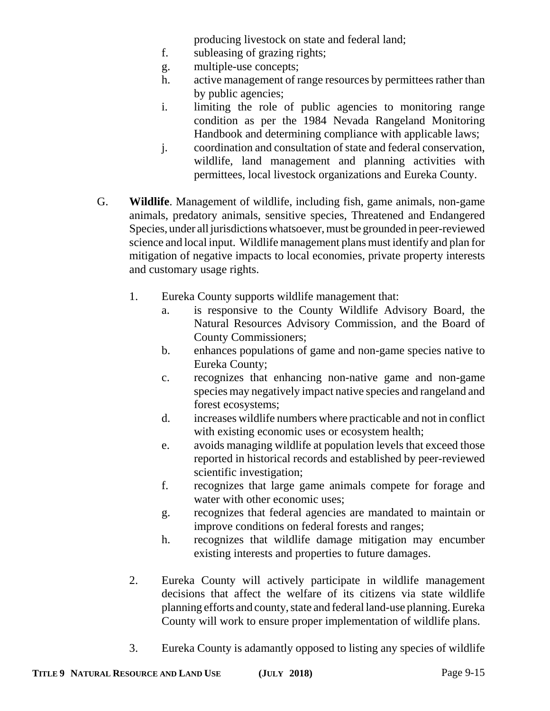producing livestock on state and federal land;

- f. subleasing of grazing rights;
- g. multiple-use concepts;
- h. active management of range resources by permittees rather than by public agencies;
- i. limiting the role of public agencies to monitoring range condition as per the 1984 Nevada Rangeland Monitoring Handbook and determining compliance with applicable laws;
- j. coordination and consultation of state and federal conservation, wildlife, land management and planning activities with permittees, local livestock organizations and Eureka County.
- G. **Wildlife**. Management of wildlife, including fish, game animals, non-game animals, predatory animals, sensitive species, Threatened and Endangered Species, under all jurisdictions whatsoever, must be grounded in peer-reviewed science and local input. Wildlife management plans must identify and plan for mitigation of negative impacts to local economies, private property interests and customary usage rights.
	- 1. Eureka County supports wildlife management that:
		- a. is responsive to the County Wildlife Advisory Board, the Natural Resources Advisory Commission, and the Board of County Commissioners;
		- b. enhances populations of game and non-game species native to Eureka County;
		- c. recognizes that enhancing non-native game and non-game species may negatively impact native species and rangeland and forest ecosystems;
		- d. increases wildlife numbers where practicable and not in conflict with existing economic uses or ecosystem health;
		- e. avoids managing wildlife at population levels that exceed those reported in historical records and established by peer-reviewed scientific investigation;
		- f. recognizes that large game animals compete for forage and water with other economic uses;
		- g. recognizes that federal agencies are mandated to maintain or improve conditions on federal forests and ranges;
		- h. recognizes that wildlife damage mitigation may encumber existing interests and properties to future damages.
	- 2. Eureka County will actively participate in wildlife management decisions that affect the welfare of its citizens via state wildlife planning efforts and county, state and federal land-use planning. Eureka County will work to ensure proper implementation of wildlife plans.
	- 3. Eureka County is adamantly opposed to listing any species of wildlife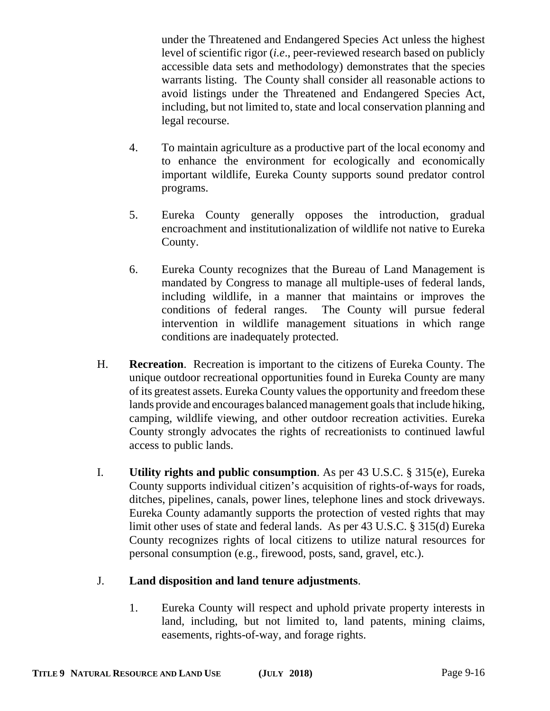under the Threatened and Endangered Species Act unless the highest level of scientific rigor (*i.e*., peer-reviewed research based on publicly accessible data sets and methodology) demonstrates that the species warrants listing. The County shall consider all reasonable actions to avoid listings under the Threatened and Endangered Species Act, including, but not limited to, state and local conservation planning and legal recourse.

- 4. To maintain agriculture as a productive part of the local economy and to enhance the environment for ecologically and economically important wildlife, Eureka County supports sound predator control programs.
- 5. Eureka County generally opposes the introduction, gradual encroachment and institutionalization of wildlife not native to Eureka County.
- 6. Eureka County recognizes that the Bureau of Land Management is mandated by Congress to manage all multiple-uses of federal lands, including wildlife, in a manner that maintains or improves the conditions of federal ranges. The County will pursue federal intervention in wildlife management situations in which range conditions are inadequately protected.
- H. **Recreation**. Recreation is important to the citizens of Eureka County. The unique outdoor recreational opportunities found in Eureka County are many of its greatest assets. Eureka County values the opportunity and freedom these lands provide and encourages balanced management goals that include hiking, camping, wildlife viewing, and other outdoor recreation activities. Eureka County strongly advocates the rights of recreationists to continued lawful access to public lands.
- I. **Utility rights and public consumption**. As per 43 U.S.C. § 315(e), Eureka County supports individual citizen's acquisition of rights-of-ways for roads, ditches, pipelines, canals, power lines, telephone lines and stock driveways. Eureka County adamantly supports the protection of vested rights that may limit other uses of state and federal lands. As per 43 U.S.C. § 315(d) Eureka County recognizes rights of local citizens to utilize natural resources for personal consumption (e.g., firewood, posts, sand, gravel, etc.).

# J. **Land disposition and land tenure adjustments**.

1. Eureka County will respect and uphold private property interests in land, including, but not limited to, land patents, mining claims, easements, rights-of-way, and forage rights.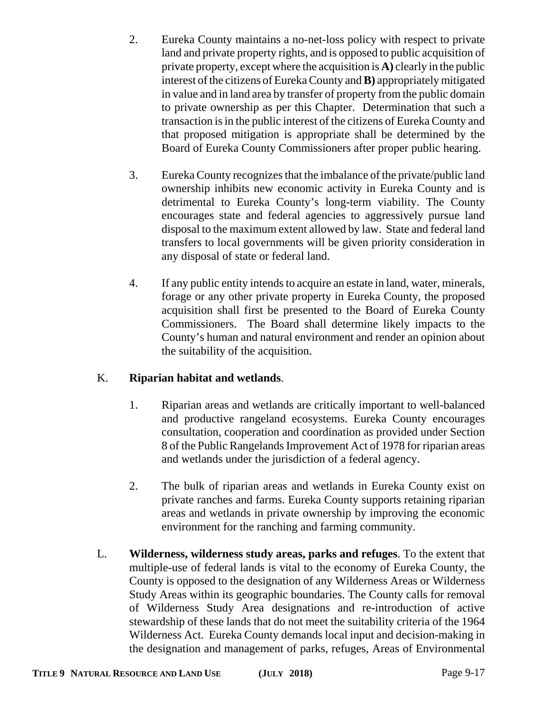- 2. Eureka County maintains a no-net-loss policy with respect to private land and private property rights, and is opposed to public acquisition of private property, except where the acquisition is **A)** clearly in the public interest of the citizens of Eureka County and **B)** appropriately mitigated in value and in land area by transfer of property from the public domain to private ownership as per this Chapter. Determination that such a transaction is in the public interest of the citizens of Eureka County and that proposed mitigation is appropriate shall be determined by the Board of Eureka County Commissioners after proper public hearing.
- 3. Eureka County recognizes that the imbalance of the private/public land ownership inhibits new economic activity in Eureka County and is detrimental to Eureka County's long-term viability. The County encourages state and federal agencies to aggressively pursue land disposal to the maximum extent allowed by law. State and federal land transfers to local governments will be given priority consideration in any disposal of state or federal land.
- 4. If any public entity intends to acquire an estate in land, water, minerals, forage or any other private property in Eureka County, the proposed acquisition shall first be presented to the Board of Eureka County Commissioners. The Board shall determine likely impacts to the County's human and natural environment and render an opinion about the suitability of the acquisition.

# K. **Riparian habitat and wetlands**.

- 1. Riparian areas and wetlands are critically important to well-balanced and productive rangeland ecosystems. Eureka County encourages consultation, cooperation and coordination as provided under Section 8 of the Public Rangelands Improvement Act of 1978 for riparian areas and wetlands under the jurisdiction of a federal agency.
- 2. The bulk of riparian areas and wetlands in Eureka County exist on private ranches and farms. Eureka County supports retaining riparian areas and wetlands in private ownership by improving the economic environment for the ranching and farming community.
- L. **Wilderness, wilderness study areas, parks and refuges**. To the extent that multiple-use of federal lands is vital to the economy of Eureka County, the County is opposed to the designation of any Wilderness Areas or Wilderness Study Areas within its geographic boundaries. The County calls for removal of Wilderness Study Area designations and re-introduction of active stewardship of these lands that do not meet the suitability criteria of the 1964 Wilderness Act. Eureka County demands local input and decision-making in the designation and management of parks, refuges, Areas of Environmental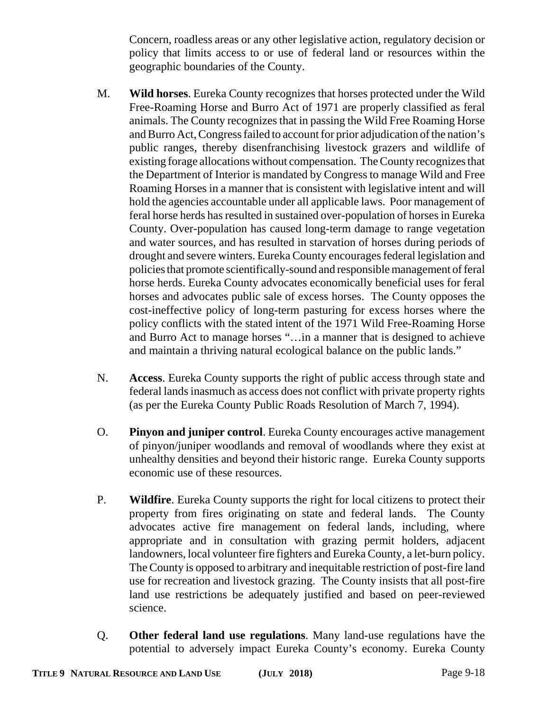Concern, roadless areas or any other legislative action, regulatory decision or policy that limits access to or use of federal land or resources within the geographic boundaries of the County.

- M. **Wild horses**. Eureka County recognizes that horses protected under the Wild Free-Roaming Horse and Burro Act of 1971 are properly classified as feral animals. The County recognizes that in passing the Wild Free Roaming Horse and Burro Act, Congress failed to account for prior adjudication of the nation's public ranges, thereby disenfranchising livestock grazers and wildlife of existing forage allocations without compensation. The County recognizes that the Department of Interior is mandated by Congress to manage Wild and Free Roaming Horses in a manner that is consistent with legislative intent and will hold the agencies accountable under all applicable laws. Poor management of feral horse herds has resulted in sustained over-population of horses in Eureka County. Over-population has caused long-term damage to range vegetation and water sources, and has resulted in starvation of horses during periods of drought and severe winters. Eureka County encourages federal legislation and policies that promote scientifically-sound and responsible management of feral horse herds. Eureka County advocates economically beneficial uses for feral horses and advocates public sale of excess horses. The County opposes the cost-ineffective policy of long-term pasturing for excess horses where the policy conflicts with the stated intent of the 1971 Wild Free-Roaming Horse and Burro Act to manage horses "…in a manner that is designed to achieve and maintain a thriving natural ecological balance on the public lands."
- N. **Access**. Eureka County supports the right of public access through state and federal lands inasmuch as access does not conflict with private property rights (as per the Eureka County Public Roads Resolution of March 7, 1994).
- O. **Pinyon and juniper control**. Eureka County encourages active management of pinyon/juniper woodlands and removal of woodlands where they exist at unhealthy densities and beyond their historic range. Eureka County supports economic use of these resources.
- P. **Wildfire**. Eureka County supports the right for local citizens to protect their property from fires originating on state and federal lands. The County advocates active fire management on federal lands, including, where appropriate and in consultation with grazing permit holders, adjacent landowners, local volunteer fire fighters and Eureka County, a let-burn policy. The County is opposed to arbitrary and inequitable restriction of post-fire land use for recreation and livestock grazing. The County insists that all post-fire land use restrictions be adequately justified and based on peer-reviewed science.
- Q. **Other federal land use regulations**. Many land-use regulations have the potential to adversely impact Eureka County's economy. Eureka County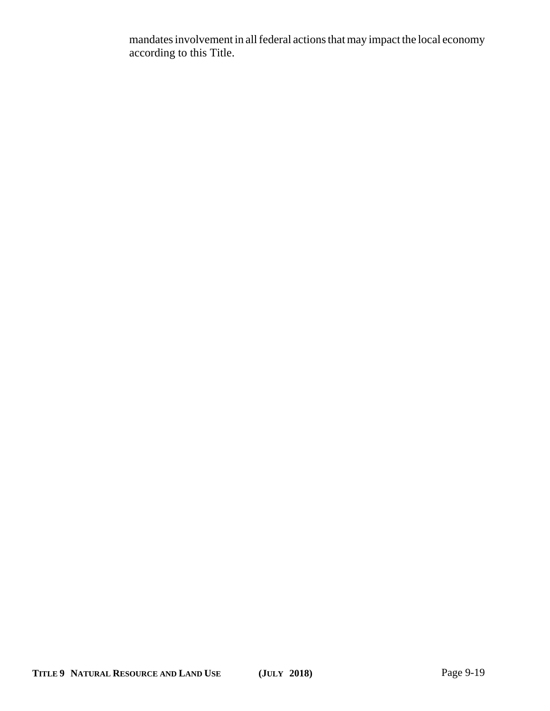mandates involvement in all federal actions that may impact the local economy according to this Title.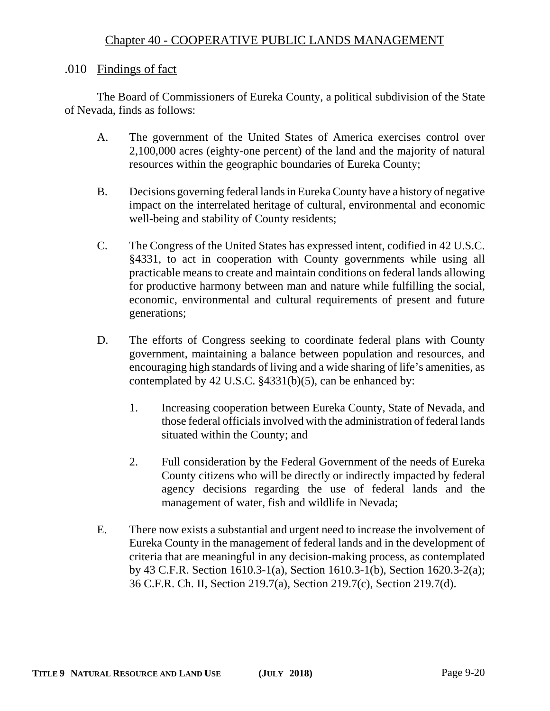# Chapter 40 - COOPERATIVE PUBLIC LANDS MANAGEMENT

#### .010 Findings of fact

The Board of Commissioners of Eureka County, a political subdivision of the State of Nevada, finds as follows:

- A. The government of the United States of America exercises control over 2,100,000 acres (eighty-one percent) of the land and the majority of natural resources within the geographic boundaries of Eureka County;
- B. Decisions governing federal lands in Eureka County have a history of negative impact on the interrelated heritage of cultural, environmental and economic well-being and stability of County residents;
- C. The Congress of the United States has expressed intent, codified in 42 U.S.C. §4331, to act in cooperation with County governments while using all practicable means to create and maintain conditions on federal lands allowing for productive harmony between man and nature while fulfilling the social, economic, environmental and cultural requirements of present and future generations;
- D. The efforts of Congress seeking to coordinate federal plans with County government, maintaining a balance between population and resources, and encouraging high standards of living and a wide sharing of life's amenities, as contemplated by 42 U.S.C. §4331(b)(5), can be enhanced by:
	- 1. Increasing cooperation between Eureka County, State of Nevada, and those federal officials involved with the administration of federal lands situated within the County; and
	- 2. Full consideration by the Federal Government of the needs of Eureka County citizens who will be directly or indirectly impacted by federal agency decisions regarding the use of federal lands and the management of water, fish and wildlife in Nevada;
- E. There now exists a substantial and urgent need to increase the involvement of Eureka County in the management of federal lands and in the development of criteria that are meaningful in any decision-making process, as contemplated by 43 C.F.R. Section 1610.3-1(a), Section 1610.3-1(b), Section 1620.3-2(a); 36 C.F.R. Ch. II, Section 219.7(a), Section 219.7(c), Section 219.7(d).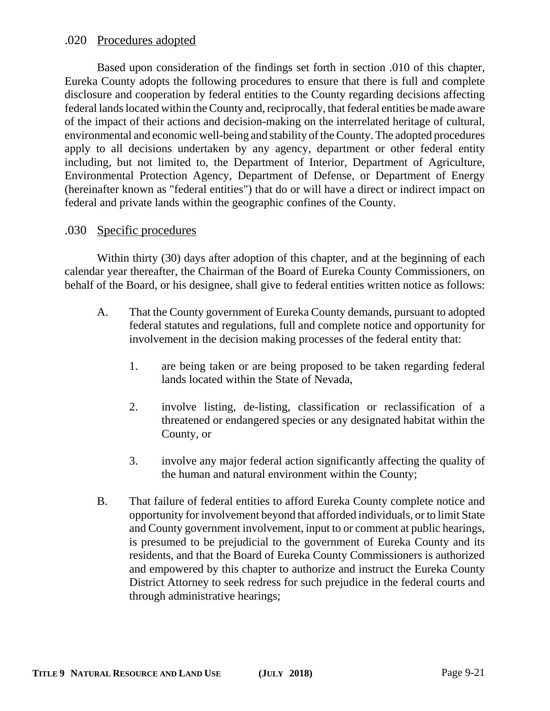#### .020 Procedures adopted

Based upon consideration of the findings set forth in section .010 of this chapter, Eureka County adopts the following procedures to ensure that there is full and complete disclosure and cooperation by federal entities to the County regarding decisions affecting federal lands located within the County and, reciprocally, that federal entities be made aware of the impact of their actions and decision-making on the interrelated heritage of cultural, environmental and economic well-being and stability of the County. The adopted procedures apply to all decisions undertaken by any agency, department or other federal entity including, but not limited to, the Department of Interior, Department of Agriculture, Environmental Protection Agency, Department of Defense, or Department of Energy (hereinafter known as "federal entities") that do or will have a direct or indirect impact on federal and private lands within the geographic confines of the County.

#### .030 Specific procedures

Within thirty (30) days after adoption of this chapter, and at the beginning of each calendar year thereafter, the Chairman of the Board of Eureka County Commissioners, on behalf of the Board, or his designee, shall give to federal entities written notice as follows:

- A. That the County government of Eureka County demands, pursuant to adopted federal statutes and regulations, full and complete notice and opportunity for involvement in the decision making processes of the federal entity that:
	- 1. are being taken or are being proposed to be taken regarding federal lands located within the State of Nevada,
	- 2. involve listing, de-listing, classification or reclassification of a threatened or endangered species or any designated habitat within the County, or
	- 3. involve any major federal action significantly affecting the quality of the human and natural environment within the County;
- B. That failure of federal entities to afford Eureka County complete notice and opportunity for involvement beyond that afforded individuals, or to limit State and County government involvement, input to or comment at public hearings, is presumed to be prejudicial to the government of Eureka County and its residents, and that the Board of Eureka County Commissioners is authorized and empowered by this chapter to authorize and instruct the Eureka County District Attorney to seek redress for such prejudice in the federal courts and through administrative hearings;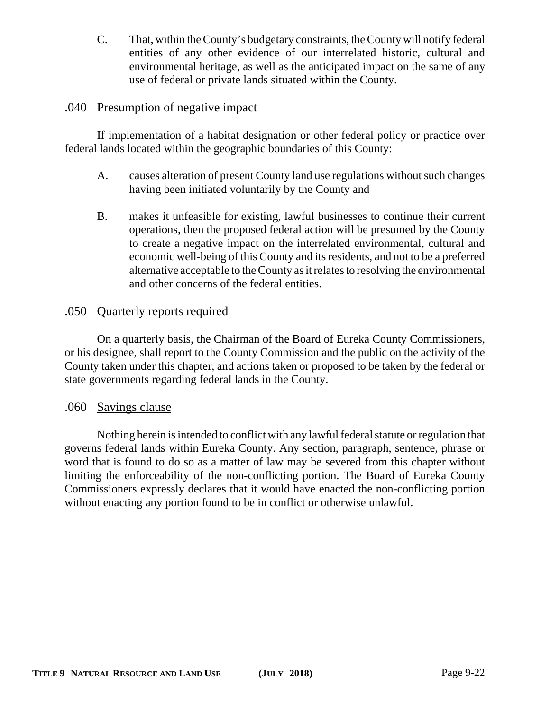C. That, within the County's budgetary constraints, the County will notify federal entities of any other evidence of our interrelated historic, cultural and environmental heritage, as well as the anticipated impact on the same of any use of federal or private lands situated within the County.

# .040 Presumption of negative impact

If implementation of a habitat designation or other federal policy or practice over federal lands located within the geographic boundaries of this County:

- A. causes alteration of present County land use regulations without such changes having been initiated voluntarily by the County and
- B. makes it unfeasible for existing, lawful businesses to continue their current operations, then the proposed federal action will be presumed by the County to create a negative impact on the interrelated environmental, cultural and economic well-being of this County and its residents, and not to be a preferred alternative acceptable to the County as it relates to resolving the environmental and other concerns of the federal entities.

# .050 Quarterly reports required

On a quarterly basis, the Chairman of the Board of Eureka County Commissioners, or his designee, shall report to the County Commission and the public on the activity of the County taken under this chapter, and actions taken or proposed to be taken by the federal or state governments regarding federal lands in the County.

#### .060 Savings clause

Nothing herein is intended to conflict with any lawful federal statute or regulation that governs federal lands within Eureka County. Any section, paragraph, sentence, phrase or word that is found to do so as a matter of law may be severed from this chapter without limiting the enforceability of the non-conflicting portion. The Board of Eureka County Commissioners expressly declares that it would have enacted the non-conflicting portion without enacting any portion found to be in conflict or otherwise unlawful.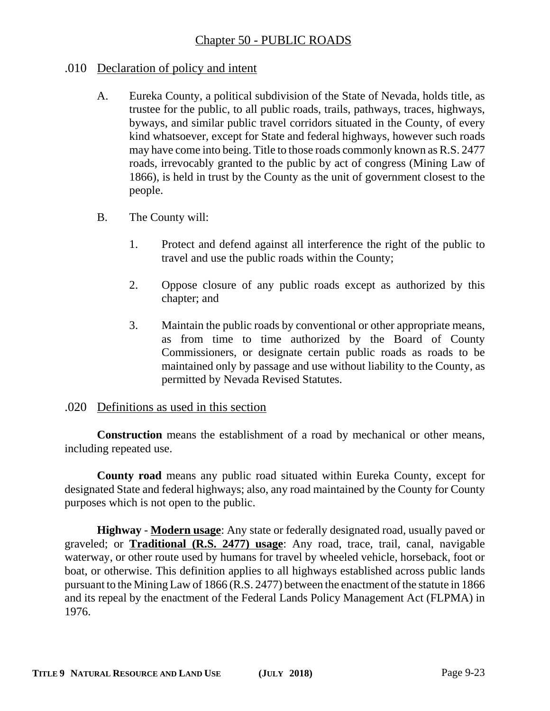# .010 Declaration of policy and intent

- A. Eureka County, a political subdivision of the State of Nevada, holds title, as trustee for the public, to all public roads, trails, pathways, traces, highways, byways, and similar public travel corridors situated in the County, of every kind whatsoever, except for State and federal highways, however such roads may have come into being. Title to those roads commonly known as R.S. 2477 roads, irrevocably granted to the public by act of congress (Mining Law of 1866), is held in trust by the County as the unit of government closest to the people.
- B. The County will:
	- 1. Protect and defend against all interference the right of the public to travel and use the public roads within the County;
	- 2. Oppose closure of any public roads except as authorized by this chapter; and
	- 3. Maintain the public roads by conventional or other appropriate means, as from time to time authorized by the Board of County Commissioners, or designate certain public roads as roads to be maintained only by passage and use without liability to the County, as permitted by Nevada Revised Statutes.

# .020 Definitions as used in this section

**Construction** means the establishment of a road by mechanical or other means, including repeated use.

**County road** means any public road situated within Eureka County, except for designated State and federal highways; also, any road maintained by the County for County purposes which is not open to the public.

**Highway** - **Modern usage**: Any state or federally designated road, usually paved or graveled; or **Traditional (R.S. 2477) usage**: Any road, trace, trail, canal, navigable waterway, or other route used by humans for travel by wheeled vehicle, horseback, foot or boat, or otherwise. This definition applies to all highways established across public lands pursuant to the Mining Law of 1866 (R.S. 2477) between the enactment of the statute in 1866 and its repeal by the enactment of the Federal Lands Policy Management Act (FLPMA) in 1976.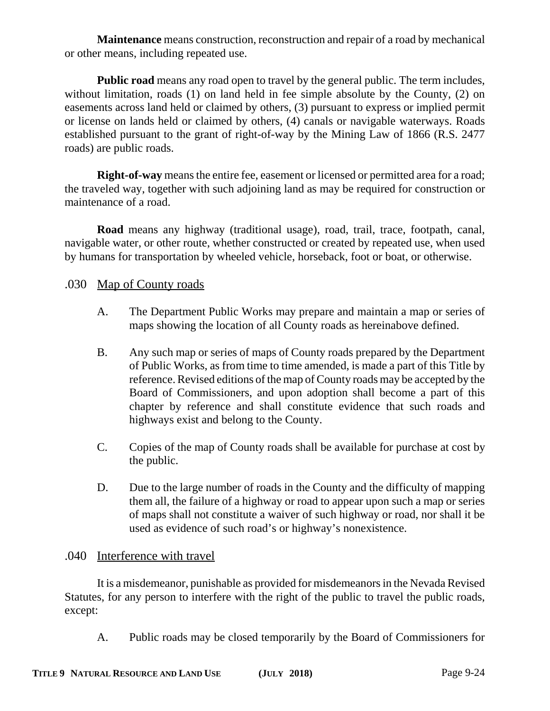**Maintenance** means construction, reconstruction and repair of a road by mechanical or other means, including repeated use.

**Public road** means any road open to travel by the general public. The term includes, without limitation, roads (1) on land held in fee simple absolute by the County, (2) on easements across land held or claimed by others, (3) pursuant to express or implied permit or license on lands held or claimed by others, (4) canals or navigable waterways. Roads established pursuant to the grant of right-of-way by the Mining Law of 1866 (R.S. 2477 roads) are public roads.

**Right-of-way** means the entire fee, easement or licensed or permitted area for a road; the traveled way, together with such adjoining land as may be required for construction or maintenance of a road.

**Road** means any highway (traditional usage), road, trail, trace, footpath, canal, navigable water, or other route, whether constructed or created by repeated use, when used by humans for transportation by wheeled vehicle, horseback, foot or boat, or otherwise.

# .030 Map of County roads

- A. The Department Public Works may prepare and maintain a map or series of maps showing the location of all County roads as hereinabove defined.
- B. Any such map or series of maps of County roads prepared by the Department of Public Works, as from time to time amended, is made a part of this Title by reference. Revised editions of the map of County roads may be accepted by the Board of Commissioners, and upon adoption shall become a part of this chapter by reference and shall constitute evidence that such roads and highways exist and belong to the County.
- C. Copies of the map of County roads shall be available for purchase at cost by the public.
- D. Due to the large number of roads in the County and the difficulty of mapping them all, the failure of a highway or road to appear upon such a map or series of maps shall not constitute a waiver of such highway or road, nor shall it be used as evidence of such road's or highway's nonexistence.

# .040 Interference with travel

It is a misdemeanor, punishable as provided for misdemeanors in the Nevada Revised Statutes, for any person to interfere with the right of the public to travel the public roads, except:

A. Public roads may be closed temporarily by the Board of Commissioners for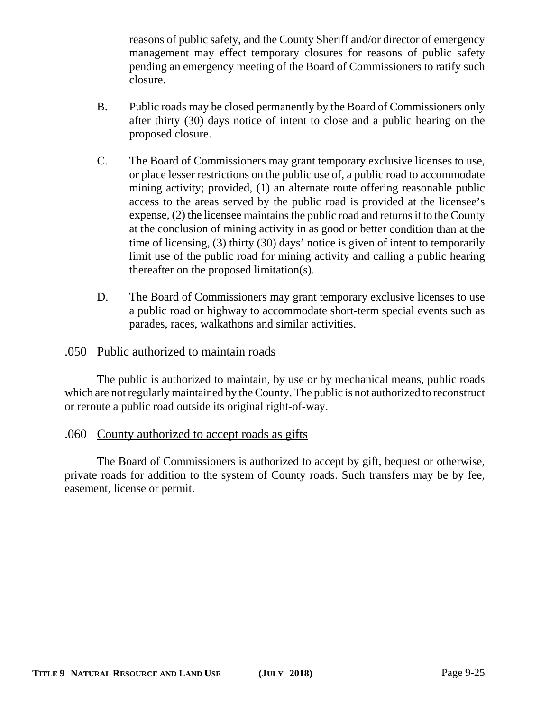reasons of public safety, and the County Sheriff and/or director of emergency management may effect temporary closures for reasons of public safety pending an emergency meeting of the Board of Commissioners to ratify such closure.

- B. Public roads may be closed permanently by the Board of Commissioners only after thirty (30) days notice of intent to close and a public hearing on the proposed closure.
- C. The Board of Commissioners may grant temporary exclusive licenses to use, or place lesser restrictions on the public use of, a public road to accommodate mining activity; provided, (1) an alternate route offering reasonable public access to the areas served by the public road is provided at the licensee's expense, (2) the licensee maintains the public road and returns it to the County at the conclusion of mining activity in as good or better condition than at the time of licensing, (3) thirty (30) days' notice is given of intent to temporarily limit use of the public road for mining activity and calling a public hearing thereafter on the proposed limitation(s).
- D. The Board of Commissioners may grant temporary exclusive licenses to use a public road or highway to accommodate short-term special events such as parades, races, walkathons and similar activities.

#### .050 Public authorized to maintain roads

The public is authorized to maintain, by use or by mechanical means, public roads which are not regularly maintained by the County. The public is not authorized to reconstruct or reroute a public road outside its original right-of-way.

#### .060 County authorized to accept roads as gifts

The Board of Commissioners is authorized to accept by gift, bequest or otherwise, private roads for addition to the system of County roads. Such transfers may be by fee, easement, license or permit.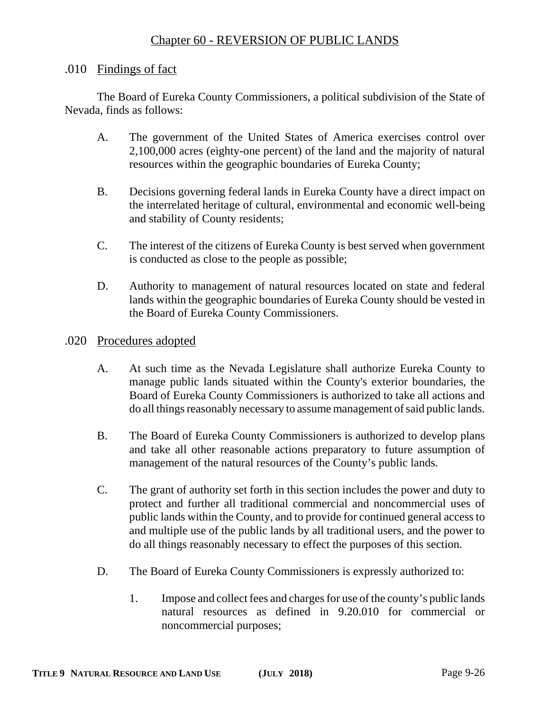# Chapter 60 - REVERSION OF PUBLIC LANDS

#### .010 Findings of fact

The Board of Eureka County Commissioners, a political subdivision of the State of Nevada, finds as follows:

- A. The government of the United States of America exercises control over 2,100,000 acres (eighty-one percent) of the land and the majority of natural resources within the geographic boundaries of Eureka County;
- B. Decisions governing federal lands in Eureka County have a direct impact on the interrelated heritage of cultural, environmental and economic well-being and stability of County residents;
- C. The interest of the citizens of Eureka County is best served when government is conducted as close to the people as possible;
- D. Authority to management of natural resources located on state and federal lands within the geographic boundaries of Eureka County should be vested in the Board of Eureka County Commissioners.
- .020 Procedures adopted
	- A. At such time as the Nevada Legislature shall authorize Eureka County to manage public lands situated within the County's exterior boundaries, the Board of Eureka County Commissioners is authorized to take all actions and do all things reasonably necessary to assume management of said public lands.
	- B. The Board of Eureka County Commissioners is authorized to develop plans and take all other reasonable actions preparatory to future assumption of management of the natural resources of the County's public lands.
	- C. The grant of authority set forth in this section includes the power and duty to protect and further all traditional commercial and noncommercial uses of public lands within the County, and to provide for continued general access to and multiple use of the public lands by all traditional users, and the power to do all things reasonably necessary to effect the purposes of this section.
	- D. The Board of Eureka County Commissioners is expressly authorized to:
		- 1. Impose and collect fees and charges for use of the county's public lands natural resources as defined in 9.20.010 for commercial or noncommercial purposes;